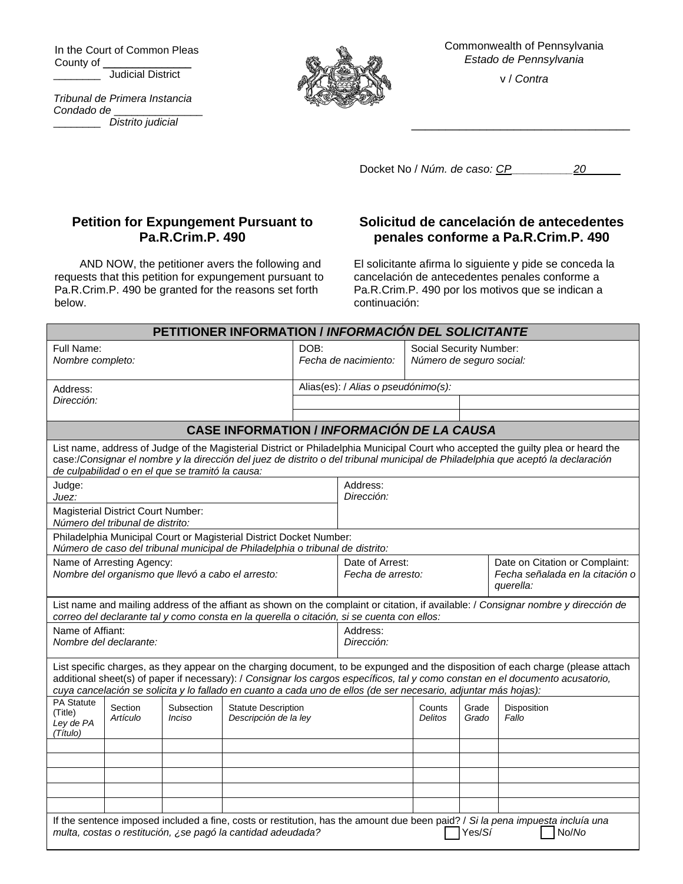In the Court of Common Pleas County of \_\_\_\_\_\_\_\_\_\_\_\_\_\_\_

**Judicial District** 

*Tribunal de Primera Instancia Condado de* \_\_\_\_\_\_\_\_\_\_\_\_\_\_\_

\_\_\_\_\_\_\_\_ *Distrito judicial*



Commonwealth of Pennsylvania *Estado de Pennsylvania*

v / *Contra*

\_\_\_\_\_\_\_\_\_\_\_\_\_\_\_\_\_\_\_\_\_\_\_\_\_\_\_\_\_\_\_\_

Docket No / *Núm. de caso: CP\_\_\_\_\_\_\_\_\_\_20*

## **Petition for Expungement Pursuant to Pa.R.Crim.P. 490**

AND NOW, the petitioner avers the following and requests that this petition for expungement pursuant to Pa.R.Crim.P. 490 be granted for the reasons set forth below.

## **Solicitud de cancelación de antecedentes penales conforme a Pa.R.Crim.P. 490**

El solicitante afirma lo siguiente y pide se conceda la cancelación de antecedentes penales conforme a Pa.R.Crim.P. 490 por los motivos que se indican a continuación:

| PETITIONER INFORMATION / INFORMACIÓN DEL SOLICITANTE                                                                                                                                                                                                                                                                                                                                  |                                  |                      |  |                                                     |                                                                   |                                                     |                |                                |
|---------------------------------------------------------------------------------------------------------------------------------------------------------------------------------------------------------------------------------------------------------------------------------------------------------------------------------------------------------------------------------------|----------------------------------|----------------------|--|-----------------------------------------------------|-------------------------------------------------------------------|-----------------------------------------------------|----------------|--------------------------------|
| Full Name:                                                                                                                                                                                                                                                                                                                                                                            | Nombre completo:                 |                      |  | DOB:<br>Fecha de nacimiento:                        |                                                                   | Social Security Number:<br>Número de seguro social: |                |                                |
| Address:                                                                                                                                                                                                                                                                                                                                                                              |                                  |                      |  | Alias(es): / Alias o pseudónimo(s):                 |                                                                   |                                                     |                |                                |
| Dirección:                                                                                                                                                                                                                                                                                                                                                                            |                                  |                      |  |                                                     |                                                                   |                                                     |                |                                |
|                                                                                                                                                                                                                                                                                                                                                                                       |                                  |                      |  |                                                     |                                                                   |                                                     |                |                                |
| <b>CASE INFORMATION / INFORMACIÓN DE LA CAUSA</b>                                                                                                                                                                                                                                                                                                                                     |                                  |                      |  |                                                     |                                                                   |                                                     |                |                                |
| List name, address of Judge of the Magisterial District or Philadelphia Municipal Court who accepted the guilty plea or heard the<br>case:/Consignar el nombre y la dirección del juez de distrito o del tribunal municipal de Philadelphia que aceptó la declaración<br>de culpabilidad o en el que se tramitó la causa:                                                             |                                  |                      |  |                                                     |                                                                   |                                                     |                |                                |
| Judge:                                                                                                                                                                                                                                                                                                                                                                                |                                  |                      |  |                                                     | Address:                                                          |                                                     |                |                                |
| Juez:<br><b>Magisterial District Court Number:</b>                                                                                                                                                                                                                                                                                                                                    |                                  |                      |  |                                                     | Dirección:                                                        |                                                     |                |                                |
|                                                                                                                                                                                                                                                                                                                                                                                       | Número del tribunal de distrito: |                      |  |                                                     |                                                                   |                                                     |                |                                |
| Philadelphia Municipal Court or Magisterial District Docket Number:<br>Número de caso del tribunal municipal de Philadelphia o tribunal de distrito:                                                                                                                                                                                                                                  |                                  |                      |  |                                                     |                                                                   |                                                     |                |                                |
| Name of Arresting Agency:                                                                                                                                                                                                                                                                                                                                                             |                                  |                      |  |                                                     | Date of Arrest:                                                   |                                                     |                | Date on Citation or Complaint: |
| Nombre del organismo que llevó a cabo el arresto:                                                                                                                                                                                                                                                                                                                                     |                                  |                      |  |                                                     | Fecha señalada en la citación o<br>Fecha de arresto:<br>querella: |                                                     |                |                                |
| List name and mailing address of the affiant as shown on the complaint or citation, if available: / Consignar nombre y dirección de<br>correo del declarante tal y como consta en la querella o citación, si se cuenta con ellos:                                                                                                                                                     |                                  |                      |  |                                                     |                                                                   |                                                     |                |                                |
| Name of Affiant:                                                                                                                                                                                                                                                                                                                                                                      |                                  |                      |  |                                                     | Address:                                                          |                                                     |                |                                |
| Nombre del declarante:                                                                                                                                                                                                                                                                                                                                                                |                                  |                      |  |                                                     | Dirección:                                                        |                                                     |                |                                |
| List specific charges, as they appear on the charging document, to be expunged and the disposition of each charge (please attach<br>additional sheet(s) of paper if necessary): / Consignar los cargos específicos, tal y como constan en el documento acusatorio,<br>cuya cancelación se solicita y lo fallado en cuanto a cada uno de ellos (de ser necesario, adjuntar más hojas): |                                  |                      |  |                                                     |                                                                   |                                                     |                |                                |
| <b>PA Statute</b><br>(Title)<br>Ley de PA<br>(Título)                                                                                                                                                                                                                                                                                                                                 | Section<br>Artículo              | Subsection<br>Inciso |  | <b>Statute Description</b><br>Descripción de la ley |                                                                   |                                                     | Grade<br>Grado | Disposition<br>Fallo           |
|                                                                                                                                                                                                                                                                                                                                                                                       |                                  |                      |  |                                                     |                                                                   |                                                     |                |                                |
|                                                                                                                                                                                                                                                                                                                                                                                       |                                  |                      |  |                                                     |                                                                   |                                                     |                |                                |
|                                                                                                                                                                                                                                                                                                                                                                                       |                                  |                      |  |                                                     |                                                                   |                                                     |                |                                |
|                                                                                                                                                                                                                                                                                                                                                                                       |                                  |                      |  |                                                     |                                                                   |                                                     |                |                                |
|                                                                                                                                                                                                                                                                                                                                                                                       |                                  |                      |  |                                                     |                                                                   |                                                     |                |                                |
| If the sentence imposed included a fine, costs or restitution, has the amount due been paid? / Si la pena impuesta incluía una<br>multa, costas o restitución, ¿se pagó la cantidad adeudada?<br>No/No<br>Yes/Sí                                                                                                                                                                      |                                  |                      |  |                                                     |                                                                   |                                                     |                |                                |
|                                                                                                                                                                                                                                                                                                                                                                                       |                                  |                      |  |                                                     |                                                                   |                                                     |                |                                |